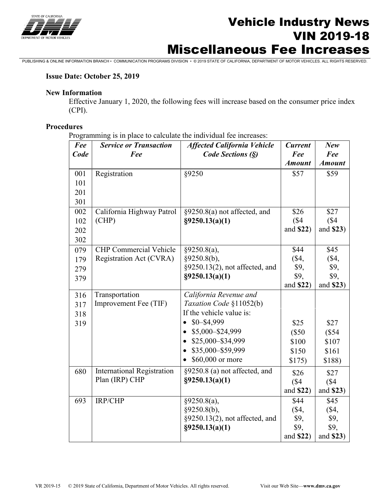

# Vehicle Industry News VIN 2019-18 Miscellaneous Fee Increases

PUBLISHING & ONLINE INFORMATION BRANCH • COMMUNICATION PROGRAMS DIVISION • © 2019 STATE OF CALIFORNIA, DEPARTMENT OF MOTOR VEHICLES. ALL RIGHTS RESERVED.

#### **Issue Date: October 25, 2019**

### **New Information**

Effective January 1, 2020, the following fees will increase based on the consumer price index (CPI).

## **Procedures**

Programming is in place to calculate the individual fee increases:

| Fee  | <b>Service or Transaction</b>     | <b>Affected California Vehicle</b> | <b>Current</b> | <b>New</b>    |
|------|-----------------------------------|------------------------------------|----------------|---------------|
| Code | Fee                               | Code Sections (§)                  | Fee            | Fee           |
|      |                                   |                                    | <b>Amount</b>  | <b>Amount</b> |
| 001  | Registration                      | §9250                              | \$57           | \$59          |
| 101  |                                   |                                    |                |               |
| 201  |                                   |                                    |                |               |
| 301  |                                   |                                    |                |               |
| 002  | California Highway Patrol         | §9250.8(a) not affected, and       | \$26           | \$27          |
| 102  | (CHP)                             | $\S$ 9250.13(a)(1)                 | (\$4)          | (S4)          |
| 202  |                                   |                                    | and \$22)      | and \$23)     |
| 302  |                                   |                                    |                |               |
| 079  | <b>CHP</b> Commercial Vehicle     | §9250.8(a),                        | \$44           | \$45          |
| 179  | Registration Act (CVRA)           | §9250.8(b),                        | $(\$4,$        | $(\$4,$       |
| 279  |                                   | §9250.13(2), not affected, and     | \$9,           | \$9,          |
| 379  |                                   | $\S$ 9250.13(a)(1)                 | \$9,           | \$9,          |
|      |                                   |                                    | and \$22)      | and \$23)     |
| 316  | Transportation                    | California Revenue and             |                |               |
| 317  | Improvement Fee (TIF)             | Taxation Code §11052(b)            |                |               |
| 318  |                                   | If the vehicle value is:           |                |               |
| 319  |                                   | $$0 - $4,999$                      | \$25           | \$27          |
|      |                                   | \$5,000-\$24,999                   | (\$50          | (\$54         |
|      |                                   | \$25,000-\$34,999                  | \$100          | \$107         |
|      |                                   | \$35,000-\$59,999                  | \$150          | \$161         |
|      |                                   | \$60,000 or more                   | \$175)         | \$188)        |
| 680  | <b>International Registration</b> | §9250.8 (a) not affected, and      | \$26           | \$27          |
|      | Plan (IRP) CHP                    | $\S$ 9250.13(a)(1)                 | (\$4)          | (S4)          |
|      |                                   |                                    | and \$22)      | and \$23)     |
| 693  | IRP/CHP                           | §9250.8(a),                        | \$44           | \$45          |
|      |                                   | §9250.8(b),                        | $(\$4,$        | $(\$4,$       |
|      |                                   | §9250.13(2), not affected, and     | \$9,           | \$9,          |
|      |                                   | $\S 9250.13(a)(1)$                 | \$9,           | \$9,          |
|      |                                   |                                    | and \$22)      | and \$23)     |